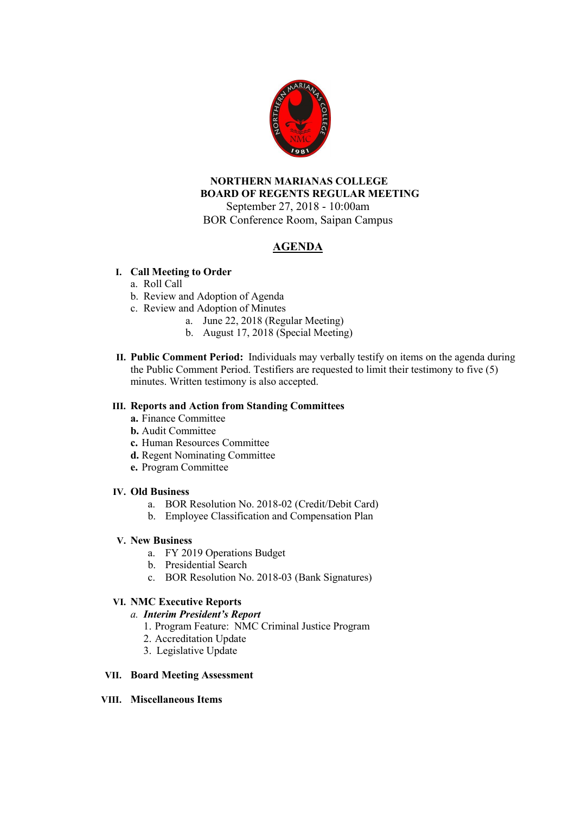

## **NORTHERN MARIANAS COLLEGE BOARD OF REGENTS REGULAR MEETING** September 27, 2018 - 10:00am

BOR Conference Room, Saipan Campus

# **AGENDA**

## **I. Call Meeting to Order**

## a. Roll Call

- b. Review and Adoption of Agenda
- c. Review and Adoption of Minutes
	- a. June 22, 2018 (Regular Meeting)
		- b. August 17, 2018 (Special Meeting)
- **II. Public Comment Period:** Individuals may verbally testify on items on the agenda during the Public Comment Period. Testifiers are requested to limit their testimony to five (5) minutes. Written testimony is also accepted.

### **III. Reports and Action from Standing Committees**

- **a.** Finance Committee
- **b.** Audit Committee
- **c.** Human Resources Committee
- **d.** Regent Nominating Committee
- **e.** Program Committee

#### **IV. Old Business**

- a. BOR Resolution No. 2018-02 (Credit/Debit Card)
- b. Employee Classification and Compensation Plan

#### **V. New Business**

- a. FY 2019 Operations Budget
- b. Presidential Search
- c. BOR Resolution No. 2018-03 (Bank Signatures)

#### **VI. NMC Executive Reports**

#### *a. Interim President's Report*

- 1. Program Feature: NMC Criminal Justice Program
- 2. Accreditation Update
- 3. Legislative Update

#### **VII. Board Meeting Assessment**

#### **VIII. Miscellaneous Items**